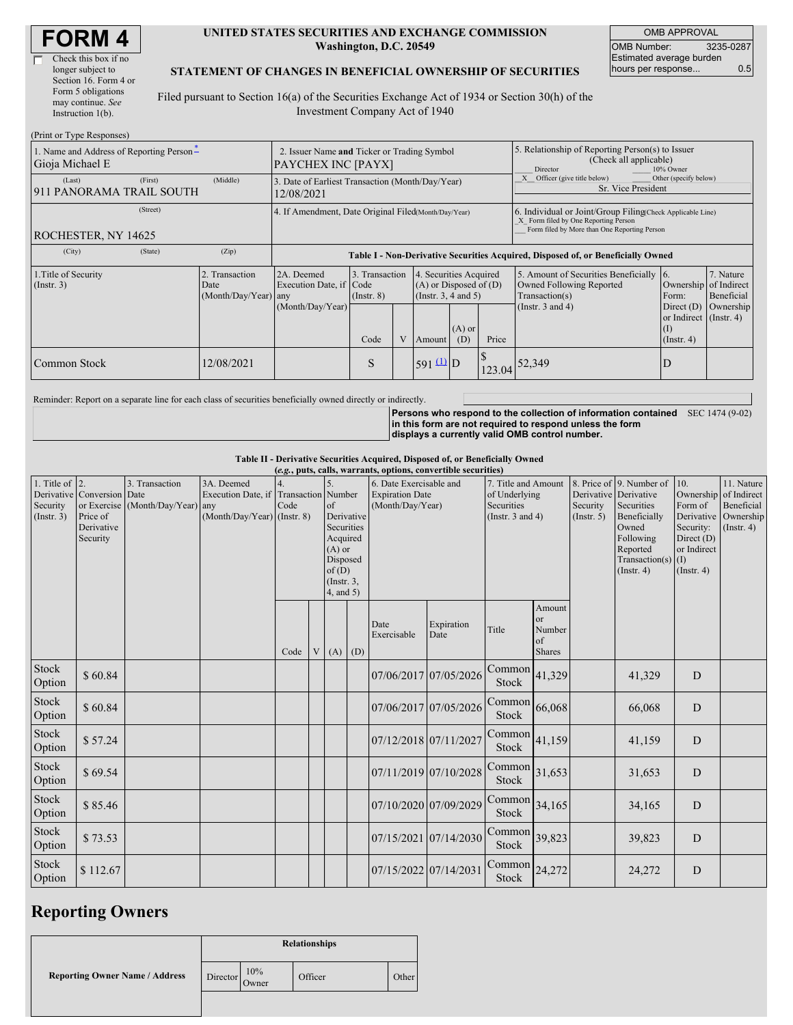| <b>FORM 4</b> |
|---------------|
|---------------|

| Check this box if no  |
|-----------------------|
| longer subject to     |
| Section 16. Form 4 or |
| Form 5 obligations    |
| may continue. See     |
| Instruction 1(b).     |
|                       |

#### **UNITED STATES SECURITIES AND EXCHANGE COMMISSION Washington, D.C. 20549**

OMB APPROVAL OMB Number: 3235-0287 Estimated average burden hours per response... 0.5

#### **STATEMENT OF CHANGES IN BENEFICIAL OWNERSHIP OF SECURITIES**

Filed pursuant to Section 16(a) of the Securities Exchange Act of 1934 or Section 30(h) of the Investment Company Act of 1940

| (Print or Type Responses)                                   |                                                                          |                                                                                  |                                   |   |                                                                                  |                 |                                                                                                     |                                                                                                                                                    |                                                                          |                                      |  |
|-------------------------------------------------------------|--------------------------------------------------------------------------|----------------------------------------------------------------------------------|-----------------------------------|---|----------------------------------------------------------------------------------|-----------------|-----------------------------------------------------------------------------------------------------|----------------------------------------------------------------------------------------------------------------------------------------------------|--------------------------------------------------------------------------|--------------------------------------|--|
| 1. Name and Address of Reporting Person*<br>Gioja Michael E | 2. Issuer Name and Ticker or Trading Symbol<br><b>PAYCHEX INC [PAYX]</b> |                                                                                  |                                   |   |                                                                                  |                 | 5. Relationship of Reporting Person(s) to Issuer<br>(Check all applicable)<br>Director<br>10% Owner |                                                                                                                                                    |                                                                          |                                      |  |
| (First)<br>(Last)<br>911 PANORAMA TRAIL SOUTH               | (Middle)                                                                 | 3. Date of Earliest Transaction (Month/Day/Year)<br>12/08/2021                   |                                   |   |                                                                                  |                 |                                                                                                     | Other (specify below)<br>Officer (give title below)<br>Sr. Vice President                                                                          |                                                                          |                                      |  |
| (Street)<br><b>ROCHESTER, NY 14625</b>                      |                                                                          | 4. If Amendment, Date Original Filed(Month/Day/Year)                             |                                   |   |                                                                                  |                 |                                                                                                     | 6. Individual or Joint/Group Filing Check Applicable Line)<br>X Form filed by One Reporting Person<br>Form filed by More than One Reporting Person |                                                                          |                                      |  |
| (City)<br>(State)                                           | (Zip)                                                                    | Table I - Non-Derivative Securities Acquired, Disposed of, or Beneficially Owned |                                   |   |                                                                                  |                 |                                                                                                     |                                                                                                                                                    |                                                                          |                                      |  |
| 1. Title of Security<br>$($ Instr. 3 $)$                    | 2. Transaction<br>Date<br>(Month/Day/Year) any                           | 2A. Deemed<br>Execution Date, if Code<br>(Month/Day/Year)                        | 3. Transaction<br>$($ Instr. $8)$ |   | 4. Securities Acquired<br>$(A)$ or Disposed of $(D)$<br>(Instr. $3, 4$ and $5$ ) |                 |                                                                                                     | 5. Amount of Securities Beneficially 6.<br>Owned Following Reported<br>Transaction(s)<br>(Instr. $3$ and $4$ )                                     | Ownership of Indirect<br>Form:<br>Direct $(D)$<br>or Indirect (Instr. 4) | 7. Nature<br>Beneficial<br>Ownership |  |
|                                                             |                                                                          |                                                                                  | Code                              | V | <b>Amount</b>                                                                    | $(A)$ or<br>(D) | Price                                                                                               |                                                                                                                                                    | $($ Instr. 4 $)$                                                         |                                      |  |
| Common Stock                                                | 12/08/2021                                                               |                                                                                  | S                                 |   | $591 \underline{u}$ D                                                            |                 |                                                                                                     | $123.04$ 52,349                                                                                                                                    | D                                                                        |                                      |  |

Reminder: Report on a separate line for each class of securities beneficially owned directly or indirectly.

**Persons who respond to the collection of information contained** SEC 1474 (9-02) **in this form are not required to respond unless the form displays a currently valid OMB control number.**

**Table II - Derivative Securities Acquired, Disposed of, or Beneficially Owned**

|                                               | (e.g., puts, calls, warrants, options, convertible securities)   |                                                    |                                                                                    |      |  |                                                                                                                      |  |                                                                       |                    |                                                                             |                                        |                                                       |                                                                                                                                      |                                                                                                    |                                                                 |
|-----------------------------------------------|------------------------------------------------------------------|----------------------------------------------------|------------------------------------------------------------------------------------|------|--|----------------------------------------------------------------------------------------------------------------------|--|-----------------------------------------------------------------------|--------------------|-----------------------------------------------------------------------------|----------------------------------------|-------------------------------------------------------|--------------------------------------------------------------------------------------------------------------------------------------|----------------------------------------------------------------------------------------------------|-----------------------------------------------------------------|
| 1. Title of $ 2$ .<br>Security<br>(Insert. 3) | Derivative Conversion Date<br>Price of<br>Derivative<br>Security | 3. Transaction<br>or Exercise (Month/Day/Year) any | 3A. Deemed<br>Execution Date, if Transaction Number<br>(Month/Day/Year) (Instr. 8) | Code |  | $\sigma$ f<br>Derivative<br>Securities<br>Acquired<br>$(A)$ or<br>Disposed<br>of(D)<br>$($ Instr. $3$ ,<br>4, and 5) |  | 6. Date Exercisable and<br><b>Expiration Date</b><br>(Month/Day/Year) |                    | 7. Title and Amount<br>of Underlying<br>Securities<br>(Instr. $3$ and $4$ ) |                                        | Derivative Derivative<br>Security<br>$($ Instr. 5 $)$ | 8. Price of 9. Number of<br>Securities<br>Beneficially<br>Owned<br>Following<br>Reported<br>Transaction(s) $(I)$<br>$($ Instr. 4 $)$ | 10.<br>Ownership of Indirect<br>Form of<br>Security:<br>Direct $(D)$<br>or Indirect<br>(Insert. 4) | 11. Nature<br>Beneficial<br>Derivative Ownership<br>(Insert. 4) |
|                                               |                                                                  |                                                    |                                                                                    | Code |  | $V(A)$ (D)                                                                                                           |  | Date<br>Exercisable                                                   | Expiration<br>Date | Title                                                                       | Amount<br>or<br>Number<br>of<br>Shares |                                                       |                                                                                                                                      |                                                                                                    |                                                                 |
| Stock<br>Option                               | \$60.84                                                          |                                                    |                                                                                    |      |  |                                                                                                                      |  | 07/06/2017 07/05/2026                                                 |                    | Common<br><b>Stock</b>                                                      | 41,329                                 |                                                       | 41,329                                                                                                                               | D                                                                                                  |                                                                 |
| Stock<br>Option                               | \$60.84                                                          |                                                    |                                                                                    |      |  |                                                                                                                      |  | 07/06/2017 07/05/2026                                                 |                    | Common<br><b>Stock</b>                                                      | 66,068                                 |                                                       | 66,068                                                                                                                               | D                                                                                                  |                                                                 |
| Stock<br>Option                               | \$57.24                                                          |                                                    |                                                                                    |      |  |                                                                                                                      |  | 07/12/2018 07/11/2027                                                 |                    | Common<br>Stock                                                             | 41,159                                 |                                                       | 41,159                                                                                                                               | D                                                                                                  |                                                                 |
| Stock<br>Option                               | \$69.54                                                          |                                                    |                                                                                    |      |  |                                                                                                                      |  | 07/11/2019 07/10/2028                                                 |                    | $\text{Common}$ 31,653<br>Stock                                             |                                        |                                                       | 31,653                                                                                                                               | D                                                                                                  |                                                                 |
| Stock<br>Option                               | \$85.46                                                          |                                                    |                                                                                    |      |  |                                                                                                                      |  | 07/10/2020 07/09/2029                                                 |                    | Common<br>Stock                                                             | 34,165                                 |                                                       | 34,165                                                                                                                               | D                                                                                                  |                                                                 |
| Stock<br>Option                               | \$73.53                                                          |                                                    |                                                                                    |      |  |                                                                                                                      |  | 07/15/2021 07/14/2030                                                 |                    | Common<br>Stock                                                             | 39,823                                 |                                                       | 39,823                                                                                                                               | D                                                                                                  |                                                                 |
| Stock<br>Option                               | \$112.67                                                         |                                                    |                                                                                    |      |  |                                                                                                                      |  | 07/15/2022 07/14/2031                                                 |                    | Common <sup>1</sup><br>Stock                                                | 24,272                                 |                                                       | 24,272                                                                                                                               | D                                                                                                  |                                                                 |

### **Reporting Owners**

|                                       | <b>Relationships</b> |              |         |       |  |  |  |
|---------------------------------------|----------------------|--------------|---------|-------|--|--|--|
| <b>Reporting Owner Name / Address</b> | Director             | 10%<br>Owner | Officer | Other |  |  |  |
|                                       |                      |              |         |       |  |  |  |